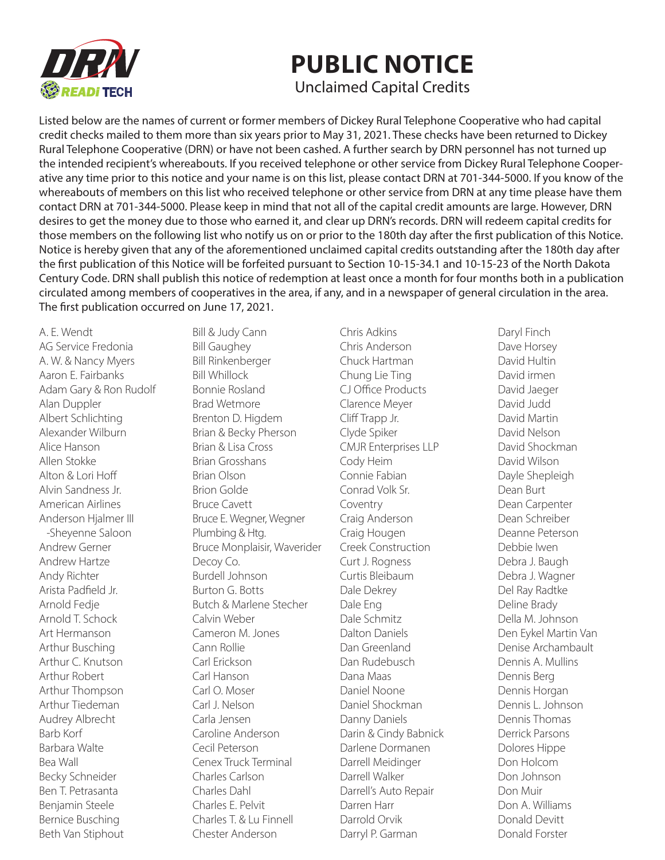

## **PUBLIC NOTICE**

Unclaimed Capital Credits

Listed below are the names of current or former members of Dickey Rural Telephone Cooperative who had capital credit checks mailed to them more than six years prior to May 31, 2021. These checks have been returned to Dickey Rural Telephone Cooperative (DRN) or have not been cashed. A further search by DRN personnel has not turned up the intended recipient's whereabouts. If you received telephone or other service from Dickey Rural Telephone Cooperative any time prior to this notice and your name is on this list, please contact DRN at 701-344-5000. If you know of the whereabouts of members on this list who received telephone or other service from DRN at any time please have them contact DRN at 701-344-5000. Please keep in mind that not all of the capital credit amounts are large. However, DRN desires to get the money due to those who earned it, and clear up DRN's records. DRN will redeem capital credits for those members on the following list who notify us on or prior to the 180th day after the first publication of this Notice. Notice is hereby given that any of the aforementioned unclaimed capital credits outstanding after the 180th day after the first publication of this Notice will be forfeited pursuant to Section 10-15-34.1 and 10-15-23 of the North Dakota Century Code. DRN shall publish this notice of redemption at least once a month for four months both in a publication circulated among members of cooperatives in the area, if any, and in a newspaper of general circulation in the area. The first publication occurred on June 17, 2021.

A. E. Wendt AG Service Fredonia A. W. & Nancy Myers Aaron E. Fairbanks Adam Gary & Ron Rudolf Alan Duppler Albert Schlichting Alexander Wilburn Alice Hanson Allen Stokke Alton & Lori Hoff Alvin Sandness Jr. American Airlines Anderson Hjalmer III -Sheyenne Saloon Andrew Gerner Andrew Hartze Andy Richter Arista Padfield Jr. Arnold Fedje Arnold T. Schock Art Hermanson Arthur Busching Arthur C. Knutson Arthur Robert Arthur Thompson Arthur Tiedeman Audrey Albrecht Barb Korf Barbara Walte Bea Wall Becky Schneider Ben T. Petrasanta Benjamin Steele Bernice Busching Beth Van Stiphout

Bill & Judy Cann Bill Gaughey Bill Rinkenberger Bill Whillock Bonnie Rosland Brad Wetmore Brenton D. Higdem Brian & Becky Pherson Brian & Lisa Cross Brian Grosshans Brian Olson Brion Golde Bruce Cavett Bruce E. Wegner, Wegner Plumbing & Htg. Bruce Monplaisir, Waverider Decoy Co. Burdell Johnson Burton G. Botts Butch & Marlene Stecher Calvin Weber Cameron M. Jones Cann Rollie Carl Erickson Carl Hanson Carl O. Moser Carl J. Nelson Carla Jensen Caroline Anderson Cecil Peterson Cenex Truck Terminal Charles Carlson Charles Dahl Charles E. Pelvit Charles T. & Lu Finnell Chester Anderson

Chris Adkins Chris Anderson Chuck Hartman Chung Lie Ting CJ Office Products Clarence Meyer Cliff Trapp Jr. Clyde Spiker CMJR Enterprises LLP Cody Heim Connie Fabian Conrad Volk Sr. Coventry Craig Anderson Craig Hougen Creek Construction Curt J. Rogness Curtis Bleibaum Dale Dekrey Dale Eng Dale Schmitz Dalton Daniels Dan Greenland Dan Rudebusch Dana Maas Daniel Noone Daniel Shockman Danny Daniels Darin & Cindy Babnick Darlene Dormanen Darrell Meidinger Darrell Walker Darrell's Auto Repair Darren Harr Darrold Orvik Darryl P. Garman

Daryl Finch Dave Horsey David Hultin David irmen David Jaeger David Judd David Martin David Nelson David Shockman David Wilson Dayle Shepleigh Dean Burt Dean Carpenter Dean Schreiber Deanne Peterson Debbie Iwen Debra J. Baugh Debra J. Wagner Del Ray Radtke Deline Brady Della M. Johnson Den Eykel Martin Van Denise Archambault Dennis A. Mullins Dennis Berg Dennis Horgan Dennis L. Johnson Dennis Thomas Derrick Parsons Dolores Hippe Don Holcom Don Johnson Don Muir Don A. Williams Donald Devitt Donald Forster